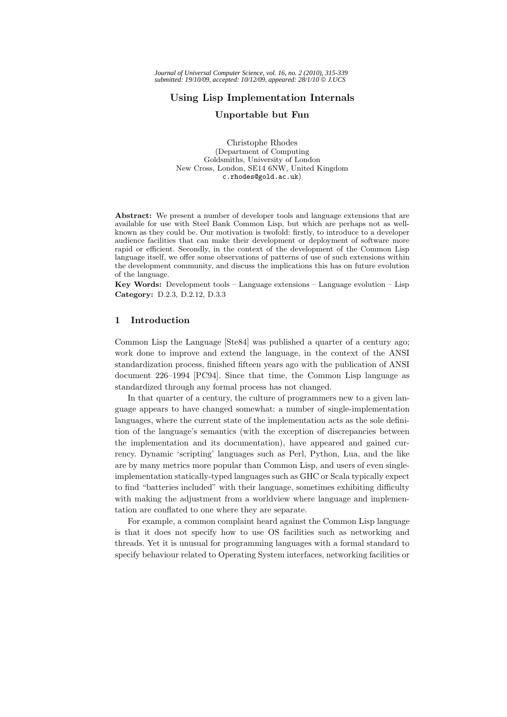# **Using Lisp Implementation Internals**

### **Unportable but Fun**

Christophe Rhodes (Department of Computing Goldsmiths, University of London New Cross, London, SE14 6NW, United Kingdom c.rhodes@gold.ac.uk)

**Abstract:** We present a number of developer tools and language extensions that are available for use with Steel Bank Common Lisp, but which are perhaps not as wellknown as they could be. Our motivation is twofold: firstly, to introduce to a developer audience facilities that can make their development or deployment of software more rapid or efficient. Secondly, in the context of the development of the Common Lisp language itself, we offer some observations of patterns of use of such extensions within the development community, and discuss the implications this has on future evolution of the language.

**Key Words:** Development tools – Language extensions – Language evolution – Lisp **Category:** D.2.3, D.2.12, D.3.3

# **1 Introduction**

Common Lisp the Language [Ste84] was published a quarter of a century ago; work done to improve and extend the language, in the context of the ANSI standardization process, finished fifteen years ago with the publication of ANSI document 226–1994 [PC94]. Since that time, the Common Lisp language as standardized through any formal process has not changed.

In that quarter of a century, the culture of programmers new to a given language appears to have changed somewhat: a number of single-implementation languages, where the current state of the implementation acts as the sole definition of the language's semantics (with the exception of discrepancies between the implementation and its documentation), have appeared and gained currency. Dynamic 'scripting' languages such as Perl, Python, Lua, and the like are by many metrics more popular than Common Lisp, and users of even singleimplementation statically-typed languages such as GHC or Scala typically expect to find "batteries included" with their language, sometimes exhibiting difficulty with making the adjustment from a worldview where language and implementation are conflated to one where they are separate.

For example, a common complaint heard against the Common Lisp language is that it does not specify how to use OS facilities such as networking and threads. Yet it is unusual for programming languages with a formal standard to specify behaviour related to Operating System interfaces, networking facilities or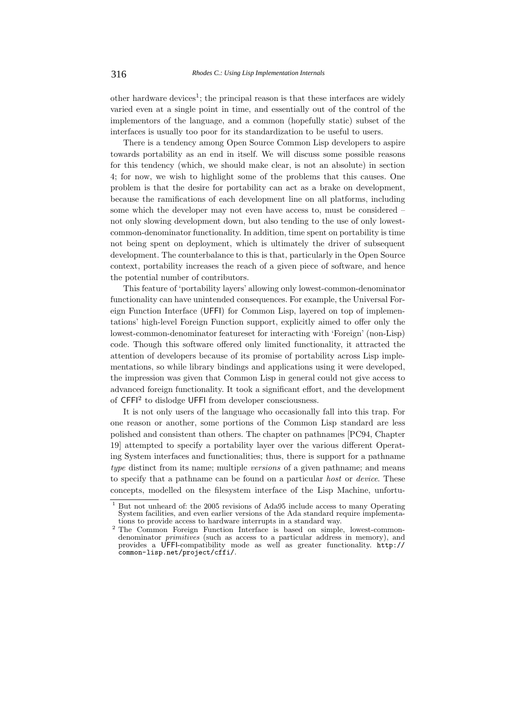other hardware devices<sup>1</sup>; the principal reason is that these interfaces are widely varied even at a single point in time, and essentially out of the control of the implementors of the language, and a common (hopefully static) subset of the interfaces is usually too poor for its standardization to be useful to users.

There is a tendency among Open Source Common Lisp developers to aspire towards portability as an end in itself. We will discuss some possible reasons for this tendency (which, we should make clear, is not an absolute) in section 4; for now, we wish to highlight some of the problems that this causes. One problem is that the desire for portability can act as a brake on development, because the ramifications of each development line on all platforms, including some which the developer may not even have access to, must be considered – not only slowing development down, but also tending to the use of only lowestcommon-denominator functionality. In addition, time spent on portability is time not being spent on deployment, which is ultimately the driver of subsequent development. The counterbalance to this is that, particularly in the Open Source context, portability increases the reach of a given piece of software, and hence the potential number of contributors.

This feature of 'portability layers' allowing only lowest-common-denominator functionality can have unintended consequences. For example, the Universal Foreign Function Interface (UFFI) for Common Lisp, layered on top of implementations' high-level Foreign Function support, explicitly aimed to offer only the lowest-common-denominator featureset for interacting with 'Foreign' (non-Lisp) code. Though this software offered only limited functionality, it attracted the attention of developers because of its promise of portability across Lisp implementations, so while library bindings and applications using it were developed, the impression was given that Common Lisp in general could not give access to advanced foreign functionality. It took a significant effort, and the development of CFFI<sup>2</sup> to dislodge UFFI from developer consciousness.

It is not only users of the language who occasionally fall into this trap. For one reason or another, some portions of the Common Lisp standard are less polished and consistent than others. The chapter on pathnames [PC94, Chapter 19] attempted to specify a portability layer over the various different Operating System interfaces and functionalities; thus, there is support for a pathname *type* distinct from its name; multiple *versions* of a given pathname; and means to specify that a pathname can be found on a particular *host* or *device*. These concepts, modelled on the filesystem interface of the Lisp Machine, unfortu-

<sup>1</sup> But not unheard of: the 2005 revisions of Ada95 include access to many Operating System facilities, and even earlier versions of the Ada standard require implementations to provide access to hardware interrupts in a standard way.

 $1$ <sup>2</sup> The Common Foreign Function Interface is based on simple, lowest-commondenominator *primitives* (such as access to a particular address in memory), and provides a UFFI-compatibility mode as well as greater functionality. http:// common-lisp.net/project/cffi/.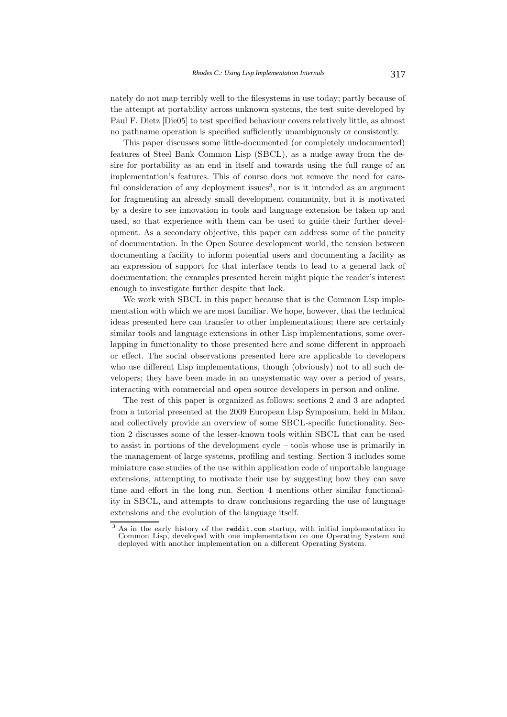nately do not map terribly well to the filesystems in use today; partly because of the attempt at portability across unknown systems, the test suite developed by Paul F. Dietz [Die05] to test specified behaviour covers relatively little, as almost no pathname operation is specified sufficiently unambiguously or consistently.

This paper discusses some little-documented (or completely undocumented) features of Steel Bank Common Lisp (SBCL), as a nudge away from the desire for portability as an end in itself and towards using the full range of an implementation's features. This of course does not remove the need for careful consideration of any deployment issues<sup>3</sup>, nor is it intended as an argument for fragmenting an already small development community, but it is motivated by a desire to see innovation in tools and language extension be taken up and used, so that experience with them can be used to guide their further development. As a secondary objective, this paper can address some of the paucity of documentation. In the Open Source development world, the tension between documenting a facility to inform potential users and documenting a facility as an expression of support for that interface tends to lead to a general lack of documentation; the examples presented herein might pique the reader's interest enough to investigate further despite that lack.

We work with SBCL in this paper because that is the Common Lisp implementation with which we are most familiar. We hope, however, that the technical ideas presented here can transfer to other implementations; there are certainly similar tools and language extensions in other Lisp implementations, some overlapping in functionality to those presented here and some different in approach or effect. The social observations presented here are applicable to developers who use different Lisp implementations, though (obviously) not to all such developers; they have been made in an unsystematic way over a period of years, interacting with commercial and open source developers in person and online.

The rest of this paper is organized as follows: sections 2 and 3 are adapted from a tutorial presented at the 2009 European Lisp Symposium, held in Milan, and collectively provide an overview of some SBCL-specific functionality. Section 2 discusses some of the lesser-known tools within SBCL that can be used to assist in portions of the development cycle – tools whose use is primarily in the management of large systems, profiling and testing. Section 3 includes some miniature case studies of the use within application code of unportable language extensions, attempting to motivate their use by suggesting how they can save time and effort in the long run. Section 4 mentions other similar functionality in SBCL, and attempts to draw conclusions regarding the use of language extensions and the evolution of the language itself.

<sup>&</sup>lt;sup>3</sup> As in the early history of the reddit.com startup, with initial implementation in Common Lisp, developed with one implementation on one Operating System and deployed with another implementation on a different Operating System.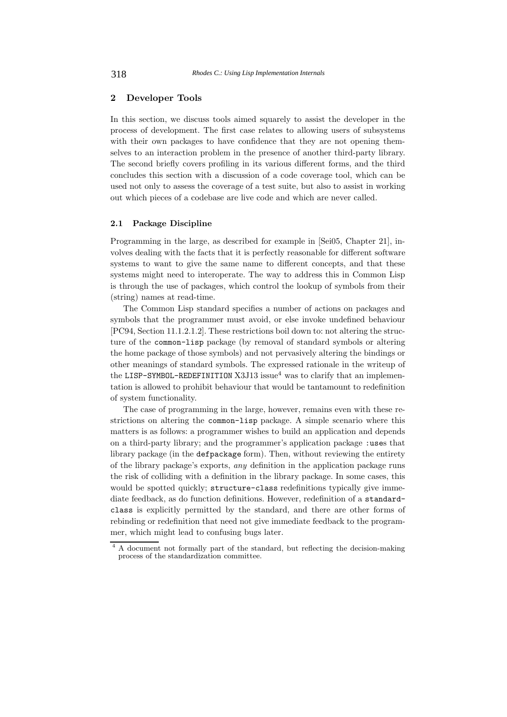## **2 Developer Tools**

In this section, we discuss tools aimed squarely to assist the developer in the process of development. The first case relates to allowing users of subsystems with their own packages to have confidence that they are not opening themselves to an interaction problem in the presence of another third-party library. The second briefly covers profiling in its various different forms, and the third concludes this section with a discussion of a code coverage tool, which can be used not only to assess the coverage of a test suite, but also to assist in working out which pieces of a codebase are live code and which are never called.

### **2.1 Package Discipline**

Programming in the large, as described for example in [Sei05, Chapter 21], involves dealing with the facts that it is perfectly reasonable for different software systems to want to give the same name to different concepts, and that these systems might need to interoperate. The way to address this in Common Lisp is through the use of packages, which control the lookup of symbols from their (string) names at read-time.

The Common Lisp standard specifies a number of actions on packages and symbols that the programmer must avoid, or else invoke undefined behaviour [PC94, Section 11.1.2.1.2]. These restrictions boil down to: not altering the structure of the common-lisp package (by removal of standard symbols or altering the home package of those symbols) and not pervasively altering the bindings or other meanings of standard symbols. The expressed rationale in the writeup of the LISP-SYMBOL-REDEFINITION  $X3J13$  issue<sup>4</sup> was to clarify that an implementation is allowed to prohibit behaviour that would be tantamount to redefinition of system functionality.

The case of programming in the large, however, remains even with these restrictions on altering the common-lisp package. A simple scenario where this matters is as follows: a programmer wishes to build an application and depends on a third-party library; and the programmer's application package :uses that library package (in the defpackage form). Then, without reviewing the entirety of the library package's exports, *any* definition in the application package runs the risk of colliding with a definition in the library package. In some cases, this would be spotted quickly; structure-class redefinitions typically give immediate feedback, as do function definitions. However, redefinition of a standardclass is explicitly permitted by the standard, and there are other forms of rebinding or redefinition that need not give immediate feedback to the programmer, which might lead to confusing bugs later.

<sup>&</sup>lt;sup>4</sup> A document not formally part of the standard, but reflecting the decision-making process of the standardization committee.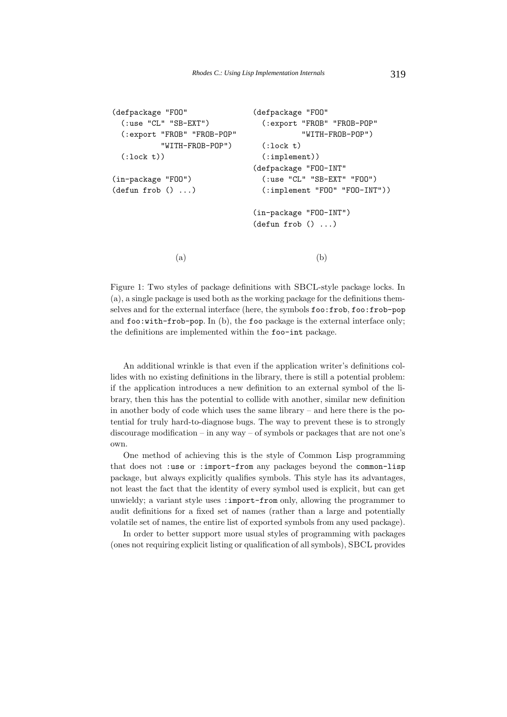```
(defpackage "FOO"
  (:use "CL" "SB-EXT")
  (:export "FROB" "FROB-POP"
          "WITH-FROB-POP")
  (:lock t))(in-package "FOO")
(defun frob () ...)
                              (defpackage "FOO"
                                (:export "FROB" "FROB-POP"
                                         "WITH-FROB-POP")
                                (:lock t)(:implement))
                              (defpackage "FOO-INT"
                                (:use "CL" "SB-EXT" "FOO")
                                (:implement "FOO" "FOO-INT"))
                              (in-package "FOO-INT")
                              (defun frob () ...)
             (a) (b)
```
Figure 1: Two styles of package definitions with SBCL-style package locks. In (a), a single package is used both as the working package for the definitions themselves and for the external interface (here, the symbols foo:frob, foo:frob-pop and foo:with-frob-pop. In (b), the foo package is the external interface only; the definitions are implemented within the foo-int package.

An additional wrinkle is that even if the application writer's definitions collides with no existing definitions in the library, there is still a potential problem: if the application introduces a new definition to an external symbol of the library, then this has the potential to collide with another, similar new definition in another body of code which uses the same library – and here there is the potential for truly hard-to-diagnose bugs. The way to prevent these is to strongly discourage modification – in any way – of symbols or packages that are not one's own.

One method of achieving this is the style of Common Lisp programming that does not :use or :import-from any packages beyond the common-lisp package, but always explicitly qualifies symbols. This style has its advantages, not least the fact that the identity of every symbol used is explicit, but can get unwieldy; a variant style uses : import-from only, allowing the programmer to audit definitions for a fixed set of names (rather than a large and potentially volatile set of names, the entire list of exported symbols from any used package).

In order to better support more usual styles of programming with packages (ones not requiring explicit listing or qualification of all symbols), SBCL provides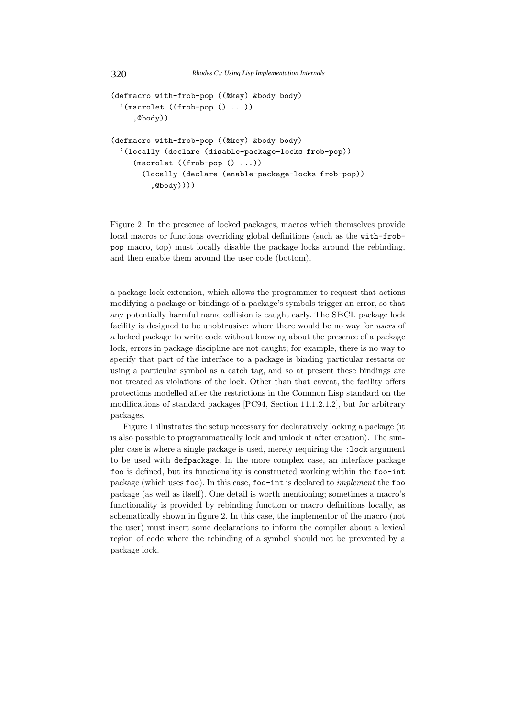```
(defmacro with-frob-pop ((&key) &body body)
  '(macrolet ((frob-pop () ...))
     ,@body))
(defmacro with-frob-pop ((&key) &body body)
  '(locally (declare (disable-package-locks frob-pop))
     (macrolet ((frob-pop () ...))
       (locally (declare (enable-package-locks frob-pop))
         ,@body))))
```
Figure 2: In the presence of locked packages, macros which themselves provide local macros or functions overriding global definitions (such as the with-frobpop macro, top) must locally disable the package locks around the rebinding, and then enable them around the user code (bottom).

a package lock extension, which allows the programmer to request that actions modifying a package or bindings of a package's symbols trigger an error, so that any potentially harmful name collision is caught early. The SBCL package lock facility is designed to be unobtrusive: where there would be no way for *users* of a locked package to write code without knowing about the presence of a package lock, errors in package discipline are not caught; for example, there is no way to specify that part of the interface to a package is binding particular restarts or using a particular symbol as a catch tag, and so at present these bindings are not treated as violations of the lock. Other than that caveat, the facility offers protections modelled after the restrictions in the Common Lisp standard on the modifications of standard packages [PC94, Section 11.1.2.1.2], but for arbitrary packages.

Figure 1 illustrates the setup necessary for declaratively locking a package (it is also possible to programmatically lock and unlock it after creation). The simpler case is where a single package is used, merely requiring the :lock argument to be used with defpackage. In the more complex case, an interface package foo is defined, but its functionality is constructed working within the foo-int package (which uses foo). In this case, foo-int is declared to *implement* the foo package (as well as itself). One detail is worth mentioning; sometimes a macro's functionality is provided by rebinding function or macro definitions locally, as schematically shown in figure 2. In this case, the implementor of the macro (not the user) must insert some declarations to inform the compiler about a lexical region of code where the rebinding of a symbol should not be prevented by a package lock.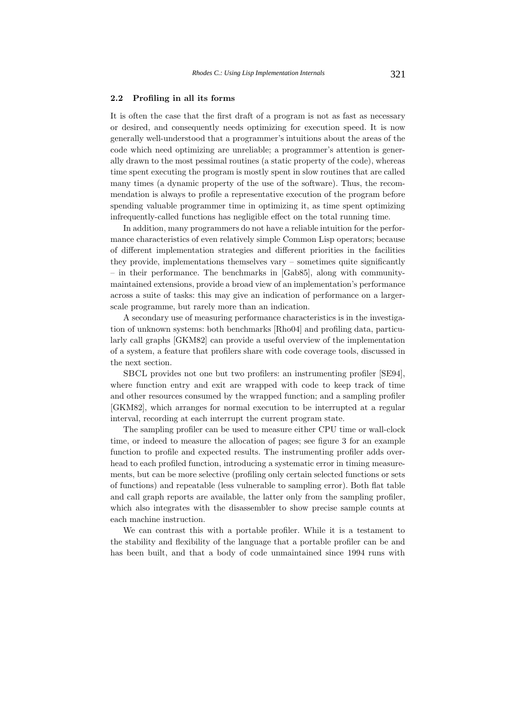#### **2.2 Profiling in all its forms**

It is often the case that the first draft of a program is not as fast as necessary or desired, and consequently needs optimizing for execution speed. It is now generally well-understood that a programmer's intuitions about the areas of the code which need optimizing are unreliable; a programmer's attention is generally drawn to the most pessimal routines (a static property of the code), whereas time spent executing the program is mostly spent in slow routines that are called many times (a dynamic property of the use of the software). Thus, the recommendation is always to profile a representative execution of the program before spending valuable programmer time in optimizing it, as time spent optimizing infrequently-called functions has negligible effect on the total running time.

In addition, many programmers do not have a reliable intuition for the performance characteristics of even relatively simple Common Lisp operators; because of different implementation strategies and different priorities in the facilities they provide, implementations themselves vary – sometimes quite significantly – in their performance. The benchmarks in [Gab85], along with communitymaintained extensions, provide a broad view of an implementation's performance across a suite of tasks: this may give an indication of performance on a largerscale programme, but rarely more than an indication.

A secondary use of measuring performance characteristics is in the investigation of unknown systems: both benchmarks [Rho04] and profiling data, particularly call graphs [GKM82] can provide a useful overview of the implementation of a system, a feature that profilers share with code coverage tools, discussed in the next section.

SBCL provides not one but two profilers: an instrumenting profiler [SE94], where function entry and exit are wrapped with code to keep track of time and other resources consumed by the wrapped function; and a sampling profiler [GKM82], which arranges for normal execution to be interrupted at a regular interval, recording at each interrupt the current program state.

The sampling profiler can be used to measure either CPU time or wall-clock time, or indeed to measure the allocation of pages; see figure 3 for an example function to profile and expected results. The instrumenting profiler adds overhead to each profiled function, introducing a systematic error in timing measurements, but can be more selective (profiling only certain selected functions or sets of functions) and repeatable (less vulnerable to sampling error). Both flat table and call graph reports are available, the latter only from the sampling profiler, which also integrates with the disassembler to show precise sample counts at each machine instruction.

We can contrast this with a portable profiler. While it is a testament to the stability and flexibility of the language that a portable profiler can be and has been built, and that a body of code unmaintained since 1994 runs with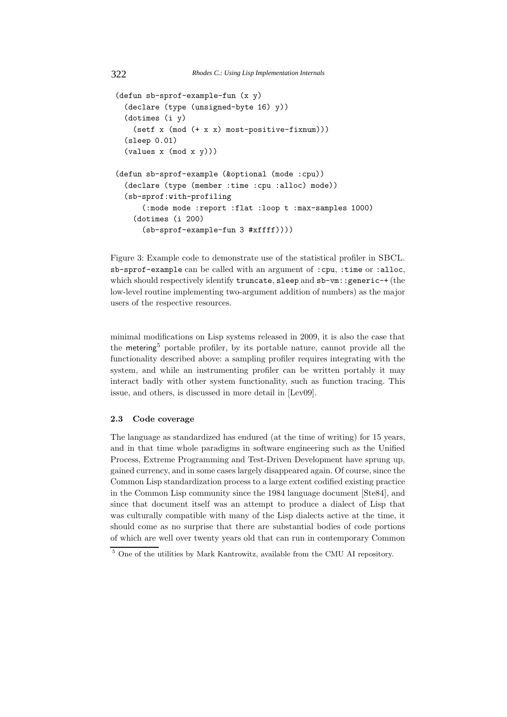```
(defun sb-sprof-example-fun (x y)
  (declare (type (unsigned-byte 16) y))
  (dotimes (i y)
    (setf x (mod (+ x x) most-positive-fixnum)))
  (sleep 0.01)
  (values x (mod x y)))
(defun sb-sprof-example (&optional (mode :cpu))
  (declare (type (member :time :cpu :alloc) mode))
  (sb-sprof:with-profiling
      (:mode mode :report :flat :loop t :max-samples 1000)
    (dotimes (i 200)
      (sb-sprof-example-fun 3 #xffff))))
```
Figure 3: Example code to demonstrate use of the statistical profiler in SBCL. sb-sprof-example can be called with an argument of :cpu, :time or :alloc, which should respectively identify truncate, sleep and sb-vm:: generic-+ (the low-level routine implementing two-argument addition of numbers) as the major users of the respective resources.

minimal modifications on Lisp systems released in 2009, it is also the case that the metering<sup>5</sup> portable profiler, by its portable nature, cannot provide all the functionality described above: a sampling profiler requires integrating with the system, and while an instrumenting profiler can be written portably it may interact badly with other system functionality, such as function tracing. This issue, and others, is discussed in more detail in [Lev09].

### **2.3 Code coverage**

The language as standardized has endured (at the time of writing) for 15 years, and in that time whole paradigms in software engineering such as the Unified Process, Extreme Programming and Test-Driven Development have sprung up, gained currency, and in some cases largely disappeared again. Of course, since the Common Lisp standardization process to a large extent codified existing practice in the Common Lisp community since the 1984 language document [Ste84], and since that document itself was an attempt to produce a dialect of Lisp that was culturally compatible with many of the Lisp dialects active at the time, it should come as no surprise that there are substantial bodies of code portions of which are well over twenty years old that can run in contemporary Common

 $^5$  One of the utilities by Mark Kantrowitz, available from the CMU AI repository.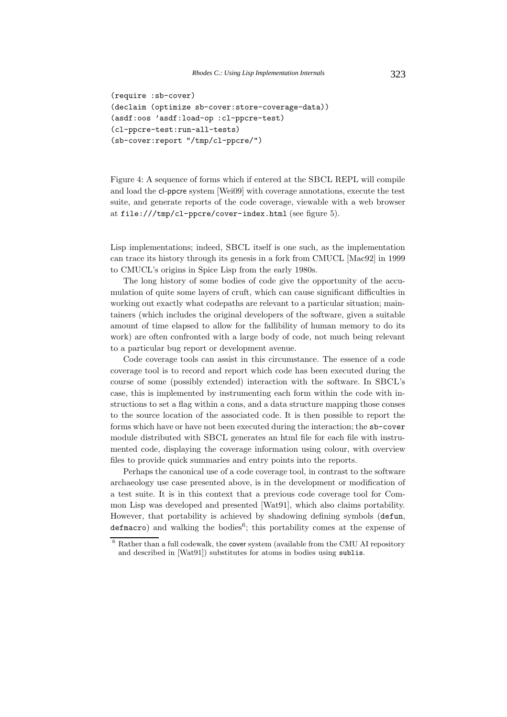```
(require :sb-cover)
(declaim (optimize sb-cover:store-coverage-data))
(asdf:oos 'asdf:load-op :cl-ppcre-test)
(cl-ppcre-test:run-all-tests)
(sb-cover:report "/tmp/cl-ppcre/")
```
Figure 4: A sequence of forms which if entered at the SBCL REPL will compile and load the cl-ppcre system [Wei09] with coverage annotations, execute the test suite, and generate reports of the code coverage, viewable with a web browser at file:///tmp/cl-ppcre/cover-index.html (see figure 5).

Lisp implementations; indeed, SBCL itself is one such, as the implementation can trace its history through its genesis in a fork from CMUCL [Mac92] in 1999 to CMUCL's origins in Spice Lisp from the early 1980s.

The long history of some bodies of code give the opportunity of the accumulation of quite some layers of cruft, which can cause significant difficulties in working out exactly what codepaths are relevant to a particular situation; maintainers (which includes the original developers of the software, given a suitable amount of time elapsed to allow for the fallibility of human memory to do its work) are often confronted with a large body of code, not much being relevant to a particular bug report or development avenue.

Code coverage tools can assist in this circumstance. The essence of a code coverage tool is to record and report which code has been executed during the course of some (possibly extended) interaction with the software. In SBCL's case, this is implemented by instrumenting each form within the code with instructions to set a flag within a cons, and a data structure mapping those conses to the source location of the associated code. It is then possible to report the forms which have or have not been executed during the interaction; the sb-cover module distributed with SBCL generates an html file for each file with instrumented code, displaying the coverage information using colour, with overview files to provide quick summaries and entry points into the reports.

Perhaps the canonical use of a code coverage tool, in contrast to the software archaeology use case presented above, is in the development or modification of a test suite. It is in this context that a previous code coverage tool for Common Lisp was developed and presented [Wat91], which also claims portability. However, that portability is achieved by shadowing defining symbols (defun,  $defmacc$  and walking the bodies<sup>6</sup>; this portability comes at the expense of

 $^6$  Rather than a full codewalk, the cover system (available from the CMU AI repository and described in [Wat91]) substitutes for atoms in bodies using sublis.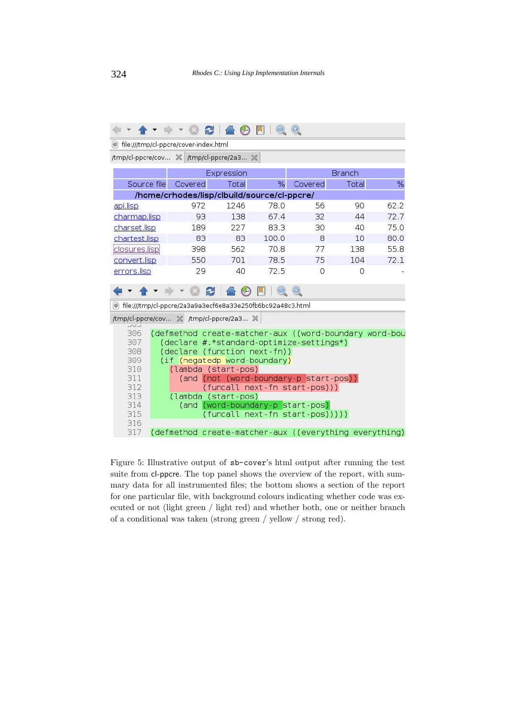|                                                              | æ                                                             | 合约同   |       |                                 |       |      |
|--------------------------------------------------------------|---------------------------------------------------------------|-------|-------|---------------------------------|-------|------|
| o file:///tmp/cl-ppcre/cover-index.html                      |                                                               |       |       |                                 |       |      |
| /tmp/cl-ppcre/cov ※ /tmp/cl-ppcre/2a3 ※                      |                                                               |       |       |                                 |       |      |
| <b>Branch</b><br>Expression                                  |                                                               |       |       |                                 |       |      |
| Source file                                                  | Covered                                                       | Total | $\%$  | Covered                         | Total | %    |
| /home/crhodes/lisp/clbuild/source/cl-ppcre/                  |                                                               |       |       |                                 |       |      |
| api.lisp                                                     | 972                                                           | 1246  | 78.0  | 56                              | 90    | 62.2 |
| charmap.lisp                                                 | 93                                                            | 138   | 67.4  | 32                              | 44    | 72.7 |
| charset.lisp                                                 | 189                                                           | 227   | 83.3  | 30                              | 40    | 75.0 |
| chartest.lisp                                                | 83                                                            | 83    | 100.0 | 8                               | 10    | 80.0 |
| closures.lisp                                                | 398                                                           | 562   | 70.8  | 77                              | 138   | 55.8 |
| convert.lisp                                                 | 550                                                           | 701   | 78.5  | 75                              | 104   | 72.1 |
| errors.lisp                                                  | 29                                                            | 40    | 72.5  | $\Omega$                        | Ω     |      |
|                                                              | B                                                             |       |       | $\bigoplus$                     |       |      |
| o file:///tmp/cl-ppcre/2a3a9a3ecf6e8a33e250fb6bc92a48c3.html |                                                               |       |       |                                 |       |      |
|                                                              |                                                               |       |       |                                 |       |      |
| /tmp/cl-ppcre/cov % /tmp/cl-ppcre/2a3 %<br>コロコ               |                                                               |       |       |                                 |       |      |
| 306                                                          | (defmethod create-matcher-aux ((word-boundary word-bou        |       |       |                                 |       |      |
| 307<br>(declare #.*standard-optimize-settings*)              |                                                               |       |       |                                 |       |      |
| 309                                                          | 308<br>(declare (function next-fn))                           |       |       |                                 |       |      |
| 310                                                          | (if (negatedp word-boundary)                                  |       |       |                                 |       |      |
| 311                                                          | (lambda (start-pos)<br>(and (not (word-boundary-p start-pos)) |       |       |                                 |       |      |
| 312                                                          | (funcall next-fn start-pos)))                                 |       |       |                                 |       |      |
| 313                                                          | (lambda (start-pos)                                           |       |       |                                 |       |      |
| 314                                                          | (and (word-boundary-p start-pos)                              |       |       |                                 |       |      |
| 315                                                          |                                                               |       |       | (funcall next-fn start-pos))))) |       |      |
| 316<br>317                                                   | (defmethod create-matcher-aux ((everything everything)        |       |       |                                 |       |      |

Figure 5: Illustrative output of sb-cover's html output after running the test suite from cl-ppcre. The top panel shows the overview of the report, with summary data for all instrumented files; the bottom shows a section of the report for one particular file, with background colours indicating whether code was executed or not (light green / light red) and whether both, one or neither branch of a conditional was taken (strong green / yellow / strong red).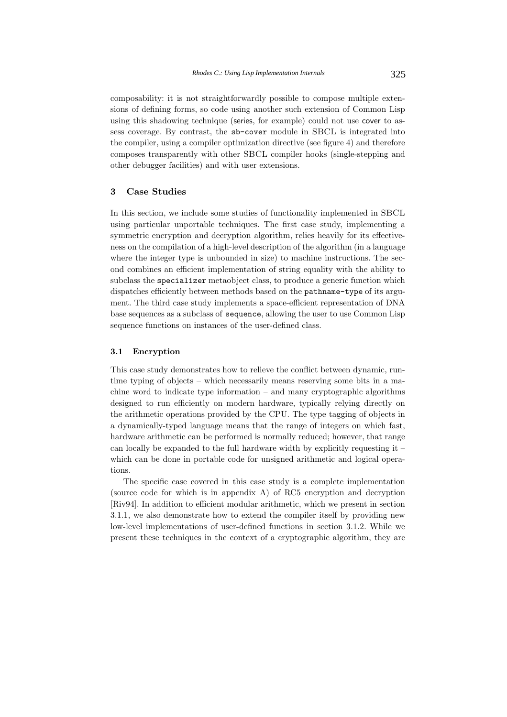composability: it is not straightforwardly possible to compose multiple extensions of defining forms, so code using another such extension of Common Lisp using this shadowing technique (series, for example) could not use cover to assess coverage. By contrast, the sb-cover module in SBCL is integrated into the compiler, using a compiler optimization directive (see figure 4) and therefore composes transparently with other SBCL compiler hooks (single-stepping and other debugger facilities) and with user extensions.

# **3 Case Studies**

In this section, we include some studies of functionality implemented in SBCL using particular unportable techniques. The first case study, implementing a symmetric encryption and decryption algorithm, relies heavily for its effectiveness on the compilation of a high-level description of the algorithm (in a language where the integer type is unbounded in size) to machine instructions. The second combines an efficient implementation of string equality with the ability to subclass the specializer metaobject class, to produce a generic function which dispatches efficiently between methods based on the pathname-type of its argument. The third case study implements a space-efficient representation of DNA base sequences as a subclass of sequence, allowing the user to use Common Lisp sequence functions on instances of the user-defined class.

## **3.1 Encryption**

This case study demonstrates how to relieve the conflict between dynamic, runtime typing of objects – which necessarily means reserving some bits in a machine word to indicate type information – and many cryptographic algorithms designed to run efficiently on modern hardware, typically relying directly on the arithmetic operations provided by the CPU. The type tagging of objects in a dynamically-typed language means that the range of integers on which fast, hardware arithmetic can be performed is normally reduced; however, that range can locally be expanded to the full hardware width by explicitly requesting it – which can be done in portable code for unsigned arithmetic and logical operations.

The specific case covered in this case study is a complete implementation (source code for which is in appendix A) of RC5 encryption and decryption [Riv94]. In addition to efficient modular arithmetic, which we present in section 3.1.1, we also demonstrate how to extend the compiler itself by providing new low-level implementations of user-defined functions in section 3.1.2. While we present these techniques in the context of a cryptographic algorithm, they are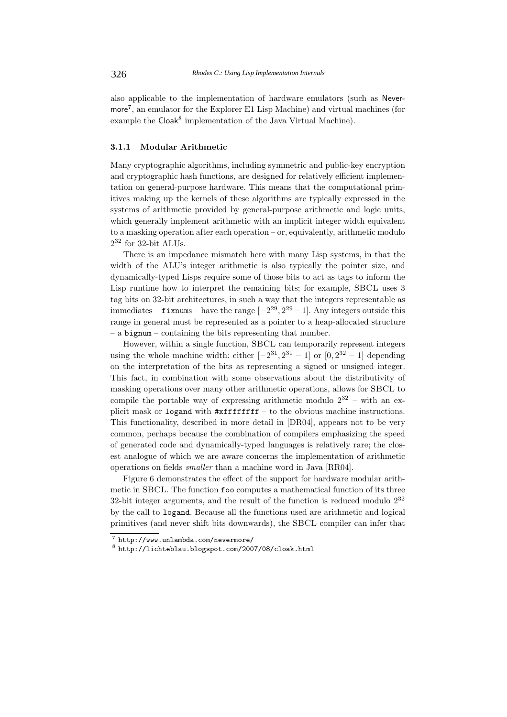also applicable to the implementation of hardware emulators (such as Nevermore7, an emulator for the Explorer E1 Lisp Machine) and virtual machines (for example the Cloak<sup>8</sup> implementation of the Java Virtual Machine).

### **3.1.1 Modular Arithmetic**

Many cryptographic algorithms, including symmetric and public-key encryption and cryptographic hash functions, are designed for relatively efficient implementation on general-purpose hardware. This means that the computational primitives making up the kernels of these algorithms are typically expressed in the systems of arithmetic provided by general-purpose arithmetic and logic units, which generally implement arithmetic with an implicit integer width equivalent to a masking operation after each operation – or, equivalently, arithmetic modulo  $2^{32}$  for 32-bit ALUs.

There is an impedance mismatch here with many Lisp systems, in that the width of the ALU's integer arithmetic is also typically the pointer size, and dynamically-typed Lisps require some of those bits to act as tags to inform the Lisp runtime how to interpret the remaining bits; for example, SBCL uses 3 tag bits on 32-bit architectures, in such a way that the integers representable as immediates – **fixnums** – have the range  $[-2^{29}, 2^{29} - 1]$ . Any integers outside this range in general must be represented as a pointer to a heap-allocated structure – a bignum – containing the bits representing that number.

However, within a single function, SBCL can temporarily represent integers using the whole machine width: either  $[-2^{31}, 2^{31} - 1]$  or  $[0, 2^{32} - 1]$  depending on the interpretation of the bits as representing a signed or unsigned integer. This fact, in combination with some observations about the distributivity of masking operations over many other arithmetic operations, allows for SBCL to compile the portable way of expressing arithmetic modulo  $2^{32}$  – with an explicit mask or logand with #xffffffff – to the obvious machine instructions. This functionality, described in more detail in [DR04], appears not to be very common, perhaps because the combination of compilers emphasizing the speed of generated code and dynamically-typed languages is relatively rare; the closest analogue of which we are aware concerns the implementation of arithmetic operations on fields *smaller* than a machine word in Java [RR04].

Figure 6 demonstrates the effect of the support for hardware modular arithmetic in SBCL. The function foo computes a mathematical function of its three 32-bit integer arguments, and the result of the function is reduced modulo  $2^{32}$ by the call to logand. Because all the functions used are arithmetic and logical primitives (and never shift bits downwards), the SBCL compiler can infer that

 $\frac{7}{8}$  http://www.unlambda.com/nevermore/<br> $\frac{8}{8}$  http://lichteblau.blogspot.com/2007/08/cloak.html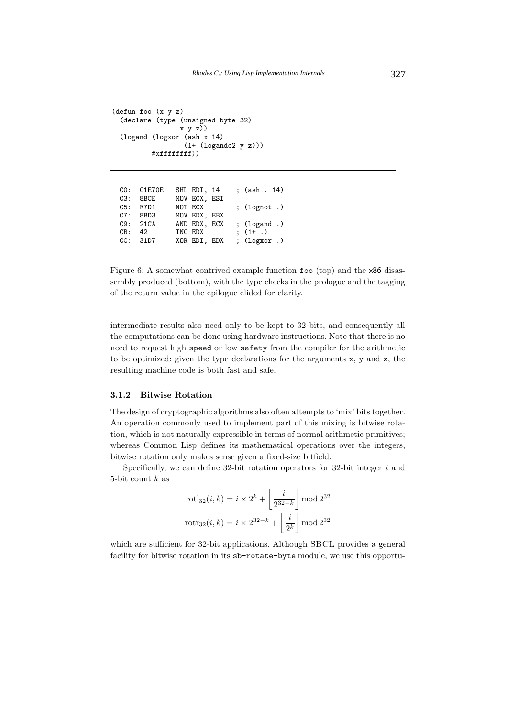```
(defun foo (x y z)
  (declare (type (unsigned-byte 32)
                 x \ y \ z)(logand (logxor (ash x 14)
                   (1+ (logandc2 y z)))
          #xffffffff))
```

|     | CO: C1E70E | SHL EDI, 14  | ; $(ash . 14)$   |
|-----|------------|--------------|------------------|
| C3: | 8BCE       | MOV ECX, ESI |                  |
|     | $C5:$ F7D1 | NOT ECX      | $(lognot)$ .     |
|     | $C7:$ 8BD3 | MOV EDX, EBX |                  |
|     | C9:21CA    | AND EDX, ECX | ; $(logand.)$    |
|     | CB: 42     | INC EDX      | $(1 + 0)$        |
|     | CC: 31D7   | XOR EDI, EDX | ; $(log x or .)$ |
|     |            |              |                  |

Figure 6: A somewhat contrived example function foo (top) and the x86 disassembly produced (bottom), with the type checks in the prologue and the tagging of the return value in the epilogue elided for clarity.

intermediate results also need only to be kept to 32 bits, and consequently all the computations can be done using hardware instructions. Note that there is no need to request high speed or low safety from the compiler for the arithmetic to be optimized: given the type declarations for the arguments x, y and z, the resulting machine code is both fast and safe.

### **3.1.2 Bitwise Rotation**

The design of cryptographic algorithms also often attempts to 'mix' bits together. An operation commonly used to implement part of this mixing is bitwise rotation, which is not naturally expressible in terms of normal arithmetic primitives; whereas Common Lisp defines its mathematical operations over the integers, bitwise rotation only makes sense given a fixed-size bitfield.

Specifically, we can define 32-bit rotation operators for 32-bit integer *i* and 5-bit count *k* as

$$
rotl_{32}(i,k) = i \times 2^{k} + \left\lfloor \frac{i}{2^{32-k}} \right\rfloor \mod 2^{32}
$$

$$
rotr_{32}(i,k) = i \times 2^{32-k} + \left\lfloor \frac{i}{2^{k}} \right\rfloor \mod 2^{32}
$$

which are sufficient for 32-bit applications. Although SBCL provides a general facility for bitwise rotation in its sb-rotate-byte module, we use this opportu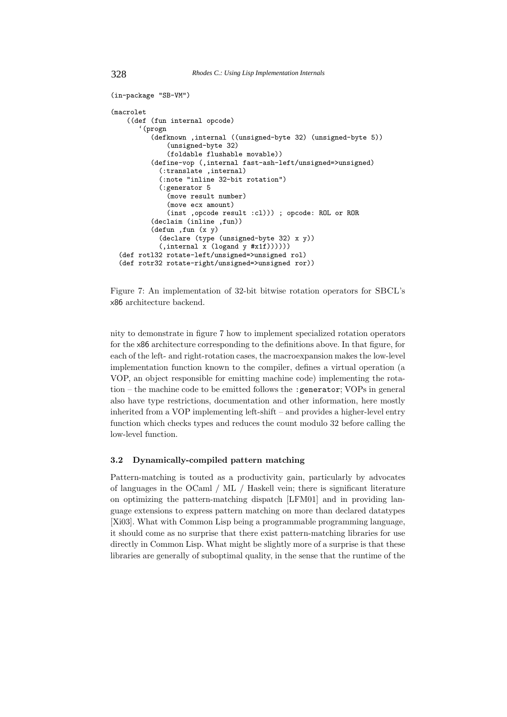328 *Rhodes C.: Using Lisp Implementation Internals*

```
(in-package "SB-VM")
(macrolet
    ((def (fun internal opcode)
       '(progn
          (defknown ,internal ((unsigned-byte 32) (unsigned-byte 5))
               (unsigned-byte 32)
               (foldable flushable movable))
          (define-vop (,internal fast-ash-left/unsigned=>unsigned)
            (:translate ,internal)
            (:note "inline 32-bit rotation")
            (:generator 5
               (move result number)
               (move ecx amount)
               (inst ,opcode result :cl))) ; opcode: ROL or ROR
          (declaim (inline ,fun))
          (defun ,fun (x y)
            (declare (type (unsigned-byte 32) x y))
            (\text{internal } x \text{ (logand } y \text{ #x1f}))))(def rotl32 rotate-left/unsigned=>unsigned rol)
  (def rotr32 rotate-right/unsigned=>unsigned ror))
```
Figure 7: An implementation of 32-bit bitwise rotation operators for SBCL's x86 architecture backend.

nity to demonstrate in figure 7 how to implement specialized rotation operators for the x86 architecture corresponding to the definitions above. In that figure, for each of the left- and right-rotation cases, the macroexpansion makes the low-level implementation function known to the compiler, defines a virtual operation (a VOP, an object responsible for emitting machine code) implementing the rotation – the machine code to be emitted follows the :generator; VOPs in general also have type restrictions, documentation and other information, here mostly inherited from a VOP implementing left-shift – and provides a higher-level entry function which checks types and reduces the count modulo 32 before calling the low-level function.

# **3.2 Dynamically-compiled pattern matching**

Pattern-matching is touted as a productivity gain, particularly by advocates of languages in the OCaml / ML / Haskell vein; there is significant literature on optimizing the pattern-matching dispatch [LFM01] and in providing language extensions to express pattern matching on more than declared datatypes [Xi03]. What with Common Lisp being a programmable programming language, it should come as no surprise that there exist pattern-matching libraries for use directly in Common Lisp. What might be slightly more of a surprise is that these libraries are generally of suboptimal quality, in the sense that the runtime of the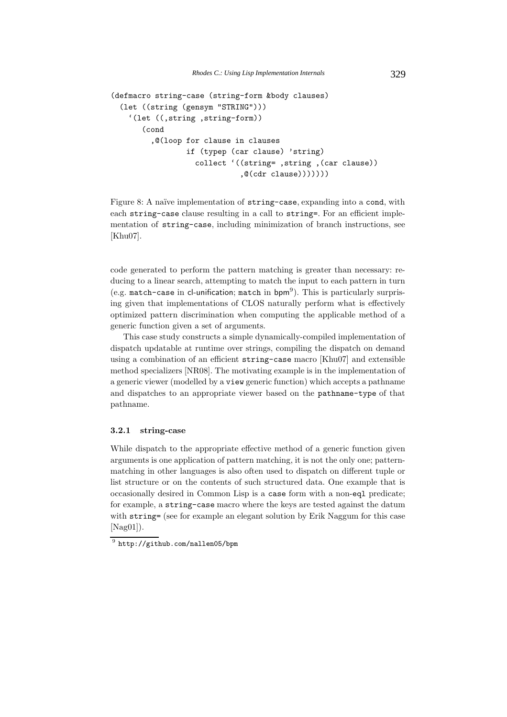```
(defmacro string-case (string-form &body clauses)
  (let ((string (gensym "STRING")))
    '(let ((,string ,string-form))
       (cond
         ,@(loop for clause in clauses
                 if (typep (car clause) 'string)
                   collect '((string= ,string ,(car clause))
                             , @(cdr clause)))))))
```
Figure 8: A naïve implementation of string-case, expanding into a cond, with each string-case clause resulting in a call to string=. For an efficient implementation of string-case, including minimization of branch instructions, see [Khu07].

code generated to perform the pattern matching is greater than necessary: reducing to a linear search, attempting to match the input to each pattern in turn (e.g. match-case in cl-unification; match in bpm<sup>9</sup>). This is particularly surprising given that implementations of CLOS naturally perform what is effectively optimized pattern discrimination when computing the applicable method of a generic function given a set of arguments.

This case study constructs a simple dynamically-compiled implementation of dispatch updatable at runtime over strings, compiling the dispatch on demand using a combination of an efficient string-case macro [Khu07] and extensible method specializers [NR08]. The motivating example is in the implementation of a generic viewer (modelled by a view generic function) which accepts a pathname and dispatches to an appropriate viewer based on the pathname-type of that pathname.

### **3.2.1 string-case**

While dispatch to the appropriate effective method of a generic function given arguments is one application of pattern matching, it is not the only one; patternmatching in other languages is also often used to dispatch on different tuple or list structure or on the contents of such structured data. One example that is occasionally desired in Common Lisp is a case form with a non-eql predicate; for example, a string-case macro where the keys are tested against the datum with string= (see for example an elegant solution by Erik Naggum for this case  $[Nag01]$ .

<sup>9</sup> http://github.com/nallen05/bpm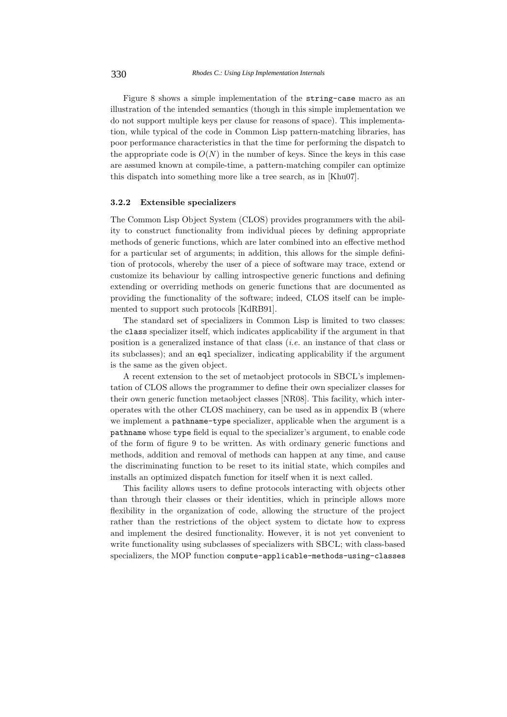Figure 8 shows a simple implementation of the string-case macro as an illustration of the intended semantics (though in this simple implementation we do not support multiple keys per clause for reasons of space). This implementation, while typical of the code in Common Lisp pattern-matching libraries, has poor performance characteristics in that the time for performing the dispatch to the appropriate code is  $O(N)$  in the number of keys. Since the keys in this case are assumed known at compile-time, a pattern-matching compiler can optimize this dispatch into something more like a tree search, as in [Khu07].

#### **3.2.2 Extensible specializers**

The Common Lisp Object System (CLOS) provides programmers with the ability to construct functionality from individual pieces by defining appropriate methods of generic functions, which are later combined into an effective method for a particular set of arguments; in addition, this allows for the simple definition of protocols, whereby the user of a piece of software may trace, extend or customize its behaviour by calling introspective generic functions and defining extending or overriding methods on generic functions that are documented as providing the functionality of the software; indeed, CLOS itself can be implemented to support such protocols [KdRB91].

The standard set of specializers in Common Lisp is limited to two classes: the class specializer itself, which indicates applicability if the argument in that position is a generalized instance of that class (*i.e.* an instance of that class or its subclasses); and an eql specializer, indicating applicability if the argument is the same as the given object.

A recent extension to the set of metaobject protocols in SBCL's implementation of CLOS allows the programmer to define their own specializer classes for their own generic function metaobject classes [NR08]. This facility, which interoperates with the other CLOS machinery, can be used as in appendix B (where we implement a pathname-type specializer, applicable when the argument is a pathname whose type field is equal to the specializer's argument, to enable code of the form of figure 9 to be written. As with ordinary generic functions and methods, addition and removal of methods can happen at any time, and cause the discriminating function to be reset to its initial state, which compiles and installs an optimized dispatch function for itself when it is next called.

This facility allows users to define protocols interacting with objects other than through their classes or their identities, which in principle allows more flexibility in the organization of code, allowing the structure of the project rather than the restrictions of the object system to dictate how to express and implement the desired functionality. However, it is not yet convenient to write functionality using subclasses of specializers with SBCL; with class-based specializers, the MOP function compute-applicable-methods-using-classes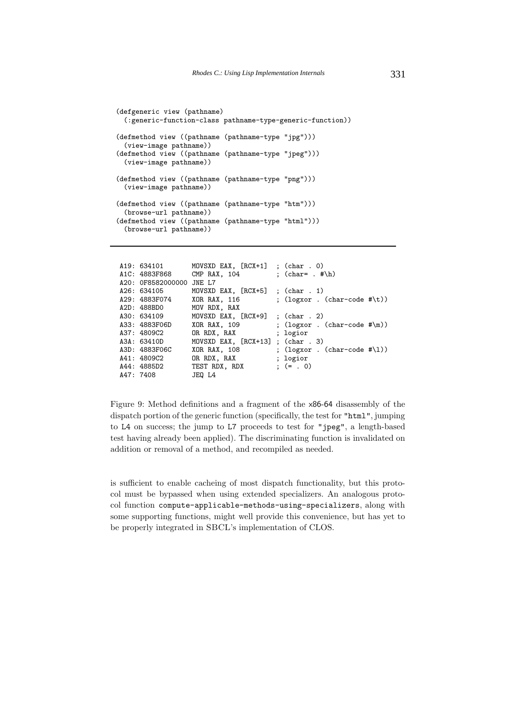```
(defgeneric view (pathname)
 (:generic-function-class pathname-type-generic-function))
(defmethod view ((pathname (pathname-type "jpg")))
 (view-image pathname))
(defmethod view ((pathname (pathname-type "jpeg")))
 (view-image pathname))
(defmethod view ((pathname (pathname-type "png")))
 (view-image pathname))
(defmethod view ((pathname (pathname-type "htm")))
 (browse-url pathname))
(defmethod view ((pathname (pathname-type "html")))
 (browse-url pathname))
```

| A19: 634101              | MOVSXD EAX, $[RCX+1]$ ; $(char . 0)$ |                                                         |
|--------------------------|--------------------------------------|---------------------------------------------------------|
| A1C: 4883F868            | $CMP$ $RAX$ , $104$                  | : $(char= . #\h)$                                       |
| A20: 0F8582000000 JNE L7 |                                      |                                                         |
| A26: 634105              | MOVSXD EAX, $[RCX+5]$ ; $(char 1)$   |                                                         |
| A29: 4883F074            | XOR RAX, 116                         | ; $(\text{logxor} \cdot (\text{char-code } #\text{t}))$ |
| A2D: 488BD0              | MOV RDX, RAX                         |                                                         |
| A30: 634109              | MOVSXD EAX, $[RCX+9]$ ; $(char 2)$   |                                                         |
| A33: 4883F06D            | XOR RAX, 109                         | ; $(\text{logxor} \cdot (\text{char-code } #\m) )$      |
| A37: 4809C2              | OR RDX, RAX                          | ; logior                                                |
| A3A: 63410D              | MOVSXD EAX, $[RCX+13]$ ; $(char 3)$  |                                                         |
| A3D: 4883F06C            | XOR RAX, 108                         | ; $(\text{logxor} \cdot (\text{char-code } #\1))$       |
| A41: 4809C2              | OR RDX, RAX                          | ; logior                                                |
| A44: 4885D2              | TEST RDX, RDX                        | $:(= . 0)$                                              |
| A47: 7408                | JEO L4                               |                                                         |

Figure 9: Method definitions and a fragment of the x86-64 disassembly of the dispatch portion of the generic function (specifically, the test for "html", jumping to L4 on success; the jump to L7 proceeds to test for "jpeg", a length-based test having already been applied). The discriminating function is invalidated on addition or removal of a method, and recompiled as needed.

is sufficient to enable cacheing of most dispatch functionality, but this protocol must be bypassed when using extended specializers. An analogous protocol function compute-applicable-methods-using-specializers, along with some supporting functions, might well provide this convenience, but has yet to be properly integrated in SBCL's implementation of CLOS.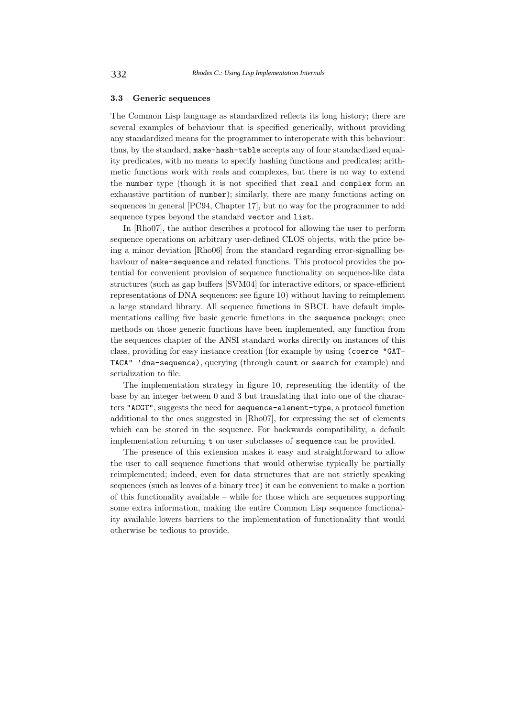#### **3.3 Generic sequences**

The Common Lisp language as standardized reflects its long history; there are several examples of behaviour that is specified generically, without providing any standardized means for the programmer to interoperate with this behaviour: thus, by the standard, make-hash-table accepts any of four standardized equality predicates, with no means to specify hashing functions and predicates; arithmetic functions work with reals and complexes, but there is no way to extend the number type (though it is not specified that real and complex form an exhaustive partition of number); similarly, there are many functions acting on sequences in general [PC94, Chapter 17], but no way for the programmer to add sequence types beyond the standard vector and list.

In [Rho07], the author describes a protocol for allowing the user to perform sequence operations on arbitrary user-defined CLOS objects, with the price being a minor deviation [Rho06] from the standard regarding error-signalling behaviour of make-sequence and related functions. This protocol provides the potential for convenient provision of sequence functionality on sequence-like data structures (such as gap buffers [SVM04] for interactive editors, or space-efficient representations of DNA sequences: see figure 10) without having to reimplement a large standard library. All sequence functions in SBCL have default implementations calling five basic generic functions in the sequence package; once methods on those generic functions have been implemented, any function from the sequences chapter of the ANSI standard works directly on instances of this class, providing for easy instance creation (for example by using (coerce "GAT-TACA" 'dna-sequence), querying (through count or search for example) and serialization to file.

The implementation strategy in figure 10, representing the identity of the base by an integer between 0 and 3 but translating that into one of the characters "ACGT", suggests the need for sequence-element-type, a protocol function additional to the ones suggested in [Rho07], for expressing the set of elements which can be stored in the sequence. For backwards compatibility, a default implementation returning t on user subclasses of sequence can be provided.

The presence of this extension makes it easy and straightforward to allow the user to call sequence functions that would otherwise typically be partially reimplemented; indeed, even for data structures that are not strictly speaking sequences (such as leaves of a binary tree) it can be convenient to make a portion of this functionality available – while for those which are sequences supporting some extra information, making the entire Common Lisp sequence functionality available lowers barriers to the implementation of functionality that would otherwise be tedious to provide.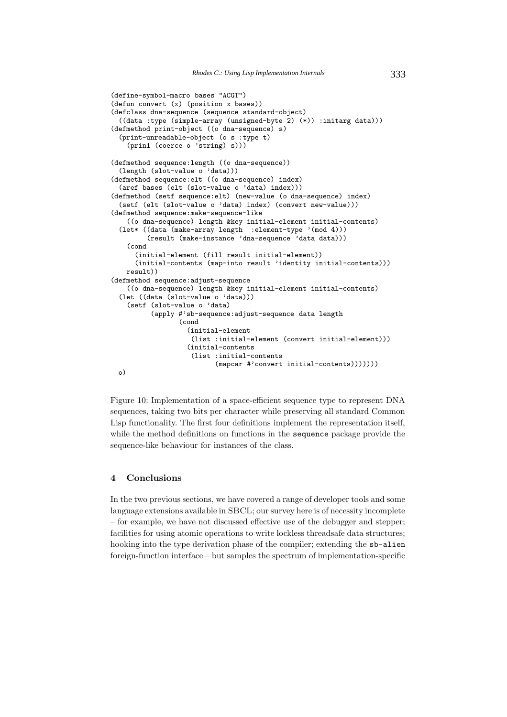```
(define-symbol-macro bases "ACGT")
(defun convert (x) (position x bases))
(defclass dna-sequence (sequence standard-object)
  ((data :type (simple-array (unsigned-byte 2) (*)) :initarg data)))
(defmethod print-object ((o dna-sequence) s)
  (print-unreadable-object (o s :type t)
    (prin1 (coerce o 'string) s)))
(defmethod sequence:length ((o dna-sequence))
  (length (slot-value o 'data)))
(defmethod sequence:elt ((o dna-sequence) index)
  (aref bases (elt (slot-value o 'data) index)))
(defmethod (setf sequence:elt) (new-value (o dna-sequence) index)
  (setf (elt (slot-value o 'data) index) (convert new-value)))
(defmethod sequence:make-sequence-like
    ((o dna-sequence) length &key initial-element initial-contents)
  (let* ((data (make-array length :element-type '(mod 4)))
         (result (make-instance 'dna-sequence 'data data)))
    (cond
      (initial-element (fill result initial-element))
      (initial-contents (map-into result 'identity initial-contents)))
    result))
(defmethod sequence:adjust-sequence
    ((o dna-sequence) length &key initial-element initial-contents)
  (let ((data (slot-value o 'data)))
    (setf (slot-value o 'data)
          (apply #'sb-sequence:adjust-sequence data length
                 (cond
                   (initial-element
                    (list :initial-element (convert initial-element)))
                   (initial-contents
                    (list :initial-contents
                          (mapcar #'convert initial-contents)))))))
 o)
```
Figure 10: Implementation of a space-efficient sequence type to represent DNA sequences, taking two bits per character while preserving all standard Common Lisp functionality. The first four definitions implement the representation itself, while the method definitions on functions in the sequence package provide the sequence-like behaviour for instances of the class.

# **4 Conclusions**

In the two previous sections, we have covered a range of developer tools and some language extensions available in SBCL; our survey here is of necessity incomplete – for example, we have not discussed effective use of the debugger and stepper; facilities for using atomic operations to write lockless threadsafe data structures; hooking into the type derivation phase of the compiler; extending the sb-alien foreign-function interface – but samples the spectrum of implementation-specific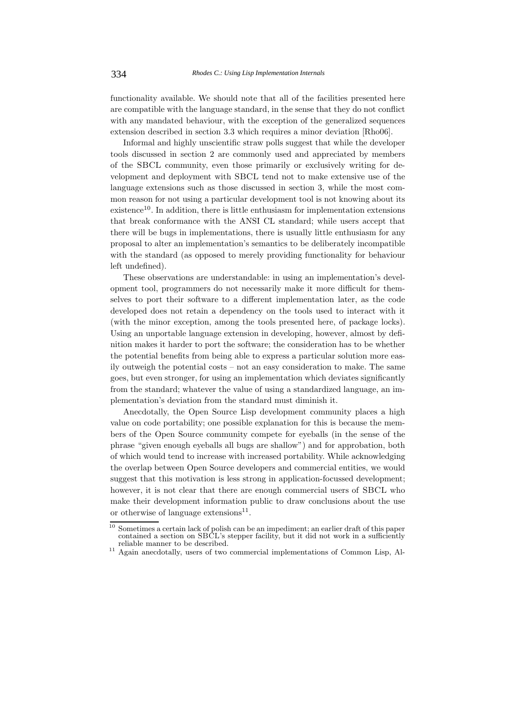functionality available. We should note that all of the facilities presented here are compatible with the language standard, in the sense that they do not conflict with any mandated behaviour, with the exception of the generalized sequences extension described in section 3.3 which requires a minor deviation [Rho06].

Informal and highly unscientific straw polls suggest that while the developer tools discussed in section 2 are commonly used and appreciated by members of the SBCL community, even those primarily or exclusively writing for development and deployment with SBCL tend not to make extensive use of the language extensions such as those discussed in section 3, while the most common reason for not using a particular development tool is not knowing about its existence<sup>10</sup>. In addition, there is little enthusiasm for implementation extensions that break conformance with the ANSI CL standard; while users accept that there will be bugs in implementations, there is usually little enthusiasm for any proposal to alter an implementation's semantics to be deliberately incompatible with the standard (as opposed to merely providing functionality for behaviour left undefined).

These observations are understandable: in using an implementation's development tool, programmers do not necessarily make it more difficult for themselves to port their software to a different implementation later, as the code developed does not retain a dependency on the tools used to interact with it (with the minor exception, among the tools presented here, of package locks). Using an unportable language extension in developing, however, almost by definition makes it harder to port the software; the consideration has to be whether the potential benefits from being able to express a particular solution more easily outweigh the potential costs – not an easy consideration to make. The same goes, but even stronger, for using an implementation which deviates significantly from the standard; whatever the value of using a standardized language, an implementation's deviation from the standard must diminish it.

Anecdotally, the Open Source Lisp development community places a high value on code portability; one possible explanation for this is because the members of the Open Source community compete for eyeballs (in the sense of the phrase "given enough eyeballs all bugs are shallow") and for approbation, both of which would tend to increase with increased portability. While acknowledging the overlap between Open Source developers and commercial entities, we would suggest that this motivation is less strong in application-focussed development; however, it is not clear that there are enough commercial users of SBCL who make their development information public to draw conclusions about the use or otherwise of language extensions $11$ .

<sup>&</sup>lt;sup>10</sup> Sometimes a certain lack of polish can be an impediment; an earlier draft of this paper contained a section on SBCL's stepper facility, but it did not work in a sufficiently reliable manner to be described.

 $11$  Again anecdotally, users of two commercial implementations of Common Lisp, Al-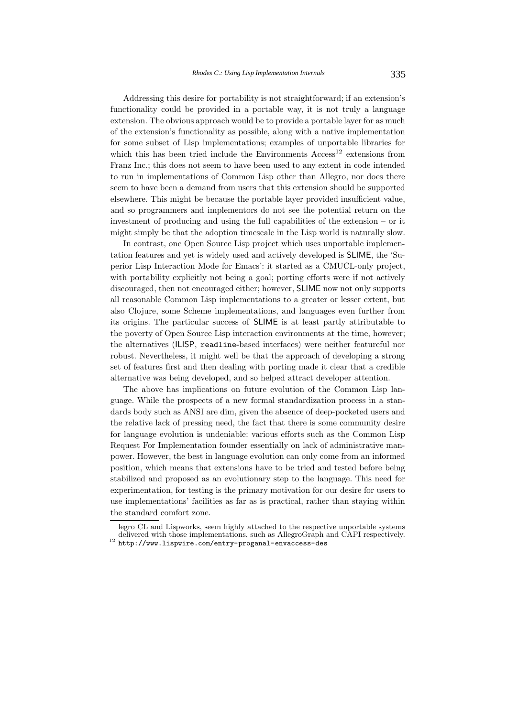Addressing this desire for portability is not straightforward; if an extension's functionality could be provided in a portable way, it is not truly a language extension. The obvious approach would be to provide a portable layer for as much of the extension's functionality as possible, along with a native implementation for some subset of Lisp implementations; examples of unportable libraries for which this has been tried include the Environments  $Access^{12}$  extensions from Franz Inc.; this does not seem to have been used to any extent in code intended to run in implementations of Common Lisp other than Allegro, nor does there seem to have been a demand from users that this extension should be supported elsewhere. This might be because the portable layer provided insufficient value, and so programmers and implementors do not see the potential return on the investment of producing and using the full capabilities of the extension – or it might simply be that the adoption timescale in the Lisp world is naturally slow.

In contrast, one Open Source Lisp project which uses unportable implementation features and yet is widely used and actively developed is SLIME, the 'Superior Lisp Interaction Mode for Emacs': it started as a CMUCL-only project, with portability explicitly not being a goal; porting efforts were if not actively discouraged, then not encouraged either; however, SLIME now not only supports all reasonable Common Lisp implementations to a greater or lesser extent, but also Clojure, some Scheme implementations, and languages even further from its origins. The particular success of SLIME is at least partly attributable to the poverty of Open Source Lisp interaction environments at the time, however; the alternatives (ILISP, readline-based interfaces) were neither featureful nor robust. Nevertheless, it might well be that the approach of developing a strong set of features first and then dealing with porting made it clear that a credible alternative was being developed, and so helped attract developer attention.

The above has implications on future evolution of the Common Lisp language. While the prospects of a new formal standardization process in a standards body such as ANSI are dim, given the absence of deep-pocketed users and the relative lack of pressing need, the fact that there is some community desire for language evolution is undeniable: various efforts such as the Common Lisp Request For Implementation founder essentially on lack of administrative manpower. However, the best in language evolution can only come from an informed position, which means that extensions have to be tried and tested before being stabilized and proposed as an evolutionary step to the language. This need for experimentation, for testing is the primary motivation for our desire for users to use implementations' facilities as far as is practical, rather than staying within the standard comfort zone.

legro CL and Lispworks, seem highly attached to the respective unportable systems delivered with those implementations, such as AllegroGraph and CAPI respectively.<br><sup>12</sup> http://www.lispwire.com/entry-proganal-envaccess-des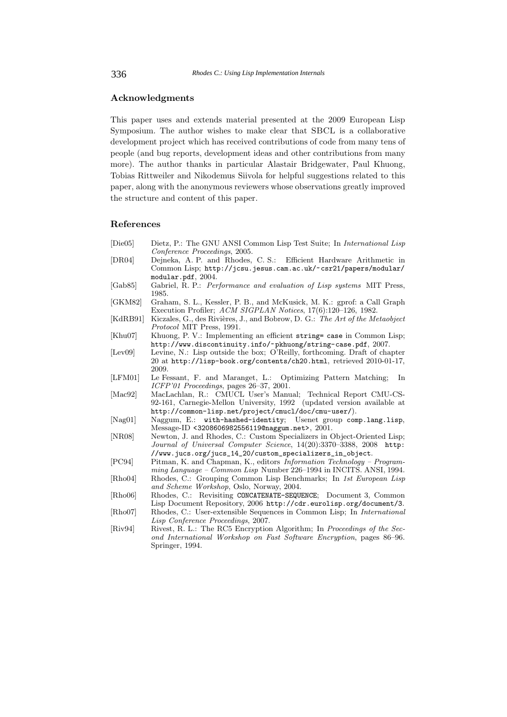## **Acknowledgments**

This paper uses and extends material presented at the 2009 European Lisp Symposium. The author wishes to make clear that SBCL is a collaborative development project which has received contributions of code from many tens of people (and bug reports, development ideas and other contributions from many more). The author thanks in particular Alastair Bridgewater, Paul Khuong, Tobias Rittweiler and Nikodemus Siivola for helpful suggestions related to this paper, along with the anonymous reviewers whose observations greatly improved the structure and content of this paper.

#### **References**

- [Die05] Dietz, P.: The GNU ANSI Common Lisp Test Suite; In *International Lisp Conference Proceedings*, 2005.
- [DR04] Dejneka, A. P. and Rhodes, C. S.: Efficient Hardware Arithmetic in Common Lisp; http://jcsu.jesus.cam.ac.uk/~csr21/papers/modular/ modular.pdf, 2004.
- [Gab85] Gabriel, R. P.: *Performance and evaluation of Lisp systems* MIT Press, 1985.
- [GKM82] Graham, S. L., Kessler, P. B., and McKusick, M. K.: gprof: a Call Graph Execution Profiler; *ACM SIGPLAN Notices*, 17(6):120–126, 1982.
- [KdRB91] Kiczales, G., des Rivières, J., and Bobrow, D. G.: *The Art of the Metaobject Protocol* MIT Press, 1991.
- [Khu07] Khuong, P. V.: Implementing an efficient string= case in Common Lisp;
- http://www.discontinuity.info/~pkhuong/string-case.pdf, 2007.<br>[Lev09] Levine, N.: Lisp outside the box; O'Reilly, forthcoming. Draft of chapter 20 at http://lisp-book.org/contents/ch20.html, retrieved 2010-01-17, 2009.
- [LFM01] Le Fessant, F. and Maranget, L.: Optimizing Pattern Matching; In *ICFP'01 Proceedings*, pages 26–37, 2001.
- [Mac92] MacLachlan, R.: CMUCL User's Manual; Technical Report CMU-CS-92-161, Carnegie-Mellon University, 1992 (updated version available at http://common-lisp.net/project/cmucl/doc/cmu-user/).
- [Nag01] Naggum, E.: with-hashed-identity; Usenet group comp.lang.lisp, Message-ID <3208606982556119@naggum.net>, 2001.
- [NR08] Newton, J. and Rhodes, C.: Custom Specializers in Object-Oriented Lisp; *Journal of Universal Computer Science*, 14(20):3370–3388, 2008 http: //www.jucs.org/jucs\_14\_20/custom\_specializers\_in\_object.
- [PC94] Pitman, K. and Chapman, K., editors *Information Technology Programming Language – Common Lisp* Number 226–1994 in INCITS. ANSI, 1994.
- [Rho04] Rhodes, C.: Grouping Common Lisp Benchmarks; In *1st European Lisp and Scheme Workshop*, Oslo, Norway, 2004.
- [Rho06] Rhodes, C.: Revisiting CONCATENATE-SEQUENCE; Document 3, Common Lisp Document Repository, 2006 http://cdr.eurolisp.org/document/3. [Rho07] Rhodes, C.: User-extensible Sequences in Common Lisp; In *International*
- *Lisp Conference Proceedings*, 2007.
- [Riv94] Rivest, R. L.: The RC5 Encryption Algorithm; In *Proceedings of the Second International Workshop on Fast Software Encryption*, pages 86–96. Springer, 1994.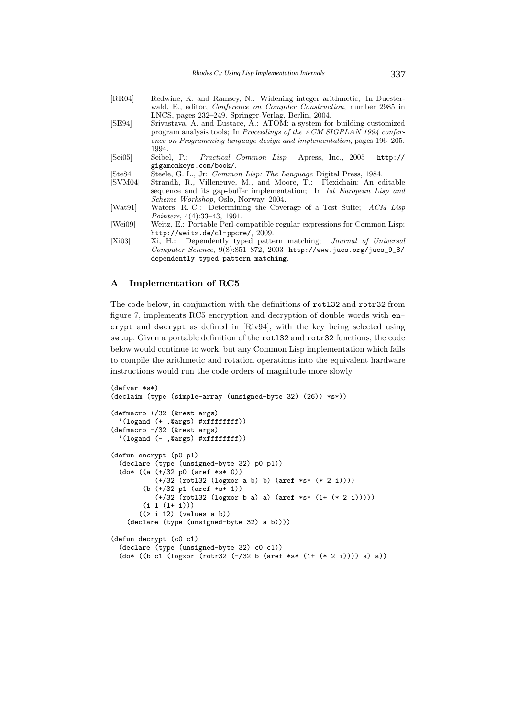| [RR04]               | Redwine, K. and Ramsey, N.: Widening integer arithmetic; In Duester-          |
|----------------------|-------------------------------------------------------------------------------|
|                      | wald, E., editor, <i>Conference on Compiler Construction</i> , number 2985 in |
|                      | LNCS, pages 232–249. Springer-Verlag, Berlin, 2004.                           |
| [SE94]               | Srivastava, A. and Eustace, A.: ATOM: a system for building customized        |
|                      | program analysis tools; In Proceedings of the ACM SIGPLAN 1994 confer-        |
|                      | ence on Programming language design and implementation, pages 196–205,        |
|                      | 1994.                                                                         |
| $\left[Sei05\right]$ | Seibel, P.: <i>Practical Common Lisp</i> Apress, Inc., 2005<br>http://        |
|                      | gigamonkeys.com/book/.                                                        |
| [Ste84]              | Steele, G. L., Jr: Common Lisp: The Language Digital Press, 1984.             |
| [SVM04]              | Strandh, R., Villeneuve, M., and Moore, T.: Flexichain: An editable           |
|                      | sequence and its gap-buffer implementation; In 1st European Lisp and          |
|                      | <i>Scheme Workshop</i> , Oslo, Norway, 2004.                                  |
| [Wat91]              | Waters, R. C.: Determining the Coverage of a Test Suite; ACM Lisp             |
|                      | Pointers, $4(4):33-43, 1991.$                                                 |
| [Wei09]              | Weitz, E.: Portable Perl-compatible regular expressions for Common Lisp;      |
|                      | http://weitz.de/cl-ppcre/, 2009.                                              |
| [Xi03]               | Xi, H.: Dependently typed pattern matching; <i>Journal of Universal</i>       |
|                      | Computer Science, $9(8):851-872$ , 2003 http://www.jucs.org/jucs_9_8/         |
|                      | dependently_typed_pattern_matching.                                           |
|                      |                                                                               |

## **A Implementation of RC5**

The code below, in conjunction with the definitions of rotl32 and rotr32 from figure 7, implements RC5 encryption and decryption of double words with encrypt and decrypt as defined in [Riv94], with the key being selected using setup. Given a portable definition of the rotl32 and rotr32 functions, the code below would continue to work, but any Common Lisp implementation which fails to compile the arithmetic and rotation operations into the equivalent hardware instructions would run the code orders of magnitude more slowly.

```
(defvar *s*)
(declaim (type (simple-array (unsigned-byte 32) (26)) *s*))
(defmacro +/32 (&rest args)
  '(logand (+ ,@args) #xffffffff))
(defmacro -/32 (&rest args)
  '(logand (- ,@args) #xffffffff))
(defun encrypt (p0 p1)
  (declare (type (unsigned-byte 32) p0 p1))
 (do* ((a (+/32 p0 (aref *s* 0))
           (+/32 (rotl32 (logxor a b) b) (aref *s* (* 2 i))))
        (b (+/32 p1 (aref *s* 1))
          (+/32 (rotl32 (logxor b a) a) (aref *s* (1+ (* 2 i)))))
        (i 1 (1+ i)))
       ((> i 12) (values a b))
    (declare (type (unsigned-byte 32) a b))))
(defun decrypt (c0 c1)
  (declare (type (unsigned-byte 32) c0 c1))
 (do* ((b c1 ((log xor (rotr32 (-/32 b (aret *s* (1+ (* 2 i)))) a)) a)))
```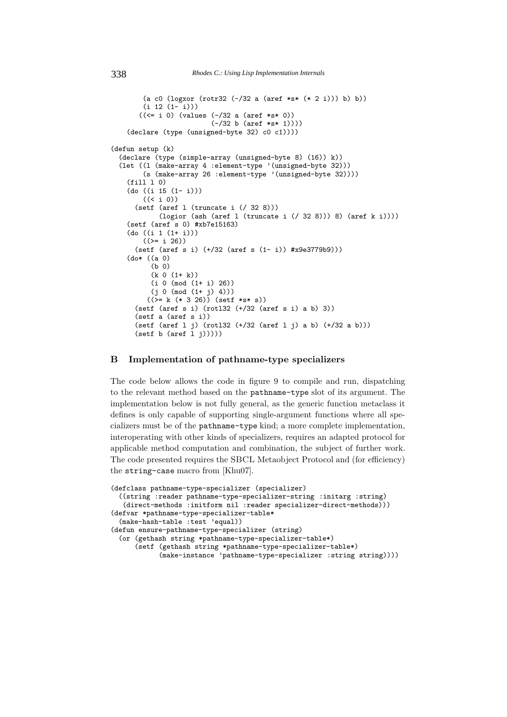```
(a c0 (logxor (rotr32 (-/32 a (aref *s* (* 2 i))) b) b))
        (i 12 (1-i)))((\le i 0) (values (-/32 a (aref *s * 0))(-/32 b (aref *s* 1))))
   (declare (type (unsigned-byte 32) c0 c1))))
(defun setup (k)
  (declare (type (simple-array (unsigned-byte 8) (16)) k))
 (let ((l (make-array 4 :element-type '(unsigned-byte 32)))
        (s (make-array 26 :element-type '(unsigned-byte 32))))
   (fill l 0)
    (do ((i 15 (1- i)))
        ((< i 0))
     (setf (aref l (truncate i (/ 32 8)))
            (logior (ash (aref l (truncate i (/ 32 8))) 8) (aref k i))))
   (setf (aref s 0) #xb7e15163)
   (do ((i 1 (1+ i)))
        ((>= i 26))(setf (aref s i) (+/32 (aref s (1- i)) #x9e3779b9)))
    (do* ((a 0)
         (b 0)
         (k 0 (1+ k))
         (i 0 (mod (1+ i) 26))
         (j 0 (mod (1+ j) 4)))
        ((>= k (* 3 26)) (setf *s* s))
      (setf (aref s i) (rotl32 (+/32 (aref s i) a b) 3))
      (setf a (aref s i))
      (setf (aref l j) (rotl32 (+/32 (aref l j) a b) (+/32 a b)))
      (setf b (aref 1 j))))
```
## **B Implementation of pathname-type specializers**

The code below allows the code in figure 9 to compile and run, dispatching to the relevant method based on the pathname-type slot of its argument. The implementation below is not fully general, as the generic function metaclass it defines is only capable of supporting single-argument functions where all specializers must be of the pathname-type kind; a more complete implementation, interoperating with other kinds of specializers, requires an adapted protocol for applicable method computation and combination, the subject of further work. The code presented requires the SBCL Metaobject Protocol and (for efficiency) the string-case macro from [Khu07].

```
(defclass pathname-type-specializer (specializer)
  ((string :reader pathname-type-specializer-string :initarg :string)
   (direct-methods :initform nil :reader specializer-direct-methods)))
(defvar *pathname-type-specializer-table*
  (make-hash-table :test 'equal))
(defun ensure-pathname-type-specializer (string)
  (or (gethash string *pathname-type-specializer-table*)
      (setf (gethash string *pathname-type-specializer-table*)
            (make-instance 'pathname-type-specializer :string string))))
```